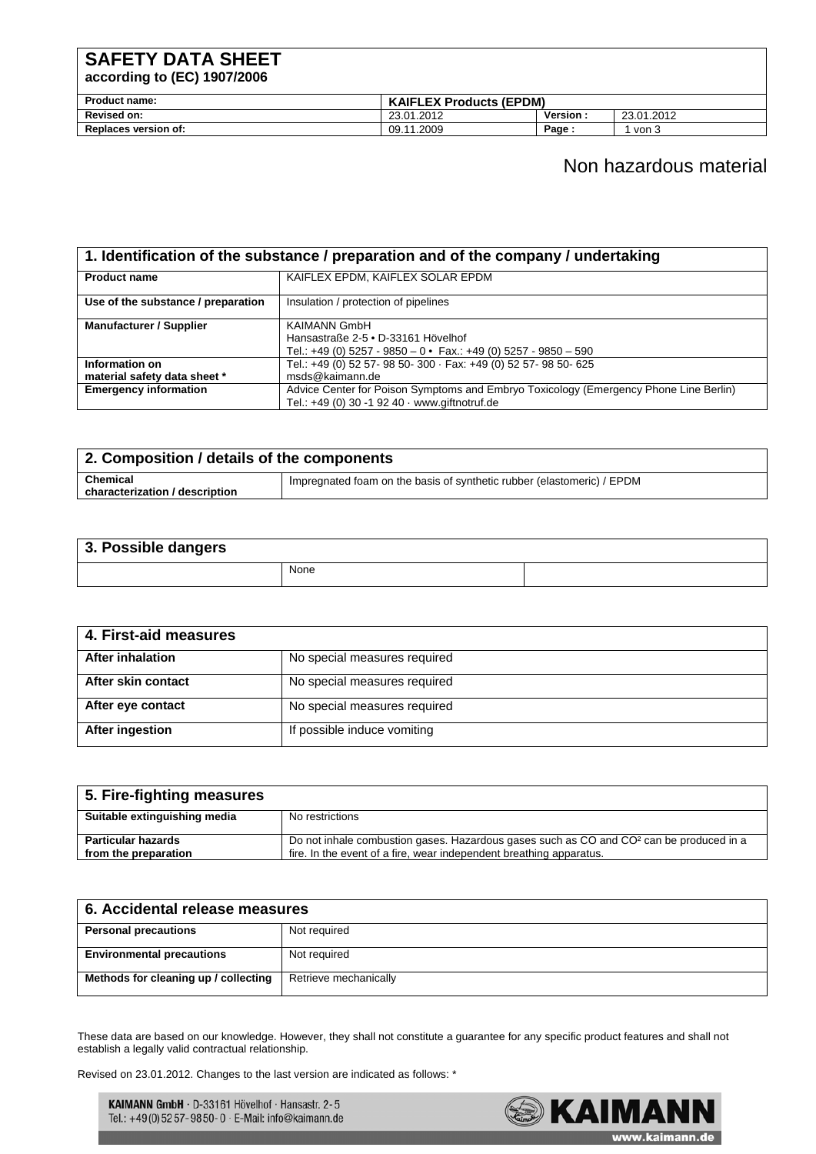### **SAFETY DATA SHEET**

**according to (EC) 1907/2006** 

| <b>Product name:</b>        | <b>KAIFLEX Products (EPDM)</b> |          |            |
|-----------------------------|--------------------------------|----------|------------|
| Revised on:                 | 23.01.2012                     | Version: | 23.01.2012 |
| <b>Replaces version of:</b> | 09.11.2009                     | Page.    | ່ von ວ    |

#### Non hazardous material

| 1. Identification of the substance / preparation and of the company / undertaking |                                                                                                                                        |  |
|-----------------------------------------------------------------------------------|----------------------------------------------------------------------------------------------------------------------------------------|--|
| <b>Product name</b>                                                               | KAIFLEX EPDM, KAIFLEX SOLAR EPDM                                                                                                       |  |
| Use of the substance / preparation                                                | Insulation / protection of pipelines                                                                                                   |  |
| <b>Manufacturer / Supplier</b>                                                    | <b>KAIMANN GmbH</b><br>Hansastraße 2-5 • D-33161 Hövelhof                                                                              |  |
|                                                                                   | Tel.: +49 (0) 5257 - 9850 - 0 • Fax.: +49 (0) 5257 - 9850 - 590                                                                        |  |
| Information on<br>material safety data sheet *                                    | Tel.: +49 (0) 52 57- 98 50- 300 · Fax: +49 (0) 52 57- 98 50- 625<br>msds@kaimann.de                                                    |  |
| <b>Emergency information</b>                                                      | Advice Center for Poison Symptoms and Embryo Toxicology (Emergency Phone Line Berlin)<br>Tel.: +49 (0) 30 -1 92 40 · www.giftnotruf.de |  |

| 2. Composition / details of the components        |                                                                        |  |
|---------------------------------------------------|------------------------------------------------------------------------|--|
| <b>Chemical</b><br>characterization / description | Impregnated foam on the basis of synthetic rubber (elastomeric) / EPDM |  |
|                                                   |                                                                        |  |

| 3. Possible dangers |      |  |
|---------------------|------|--|
|                     | None |  |

| 4. First-aid measures   |                              |
|-------------------------|------------------------------|
| <b>After inhalation</b> | No special measures required |
| After skin contact      | No special measures required |
| After eye contact       | No special measures required |
| After ingestion         | If possible induce vomiting  |

| 5. Fire-fighting measures                         |                                                                                                                                                                            |
|---------------------------------------------------|----------------------------------------------------------------------------------------------------------------------------------------------------------------------------|
| Suitable extinguishing media                      | No restrictions                                                                                                                                                            |
| <b>Particular hazards</b><br>from the preparation | Do not inhale combustion gases. Hazardous gases such as CO and CO <sup>2</sup> can be produced in a<br>fire. In the event of a fire, wear independent breathing apparatus. |

| 6. Accidental release measures       |                       |
|--------------------------------------|-----------------------|
| <b>Personal precautions</b>          | Not required          |
| <b>Environmental precautions</b>     | Not required          |
| Methods for cleaning up / collecting | Retrieve mechanically |

These data are based on our knowledge. However, they shall not constitute a guarantee for any specific product features and shall not establish a legally valid contractual relationship.

Revised on 23.01.2012. Changes to the last version are indicated as follows: \*

KAIMANN GmbH · D-33161 Hövelhof · Hansastr. 2-5 Tel.: +49 (0) 52 57 - 98 50 - 0 · E-Mail: info@kaimann.de

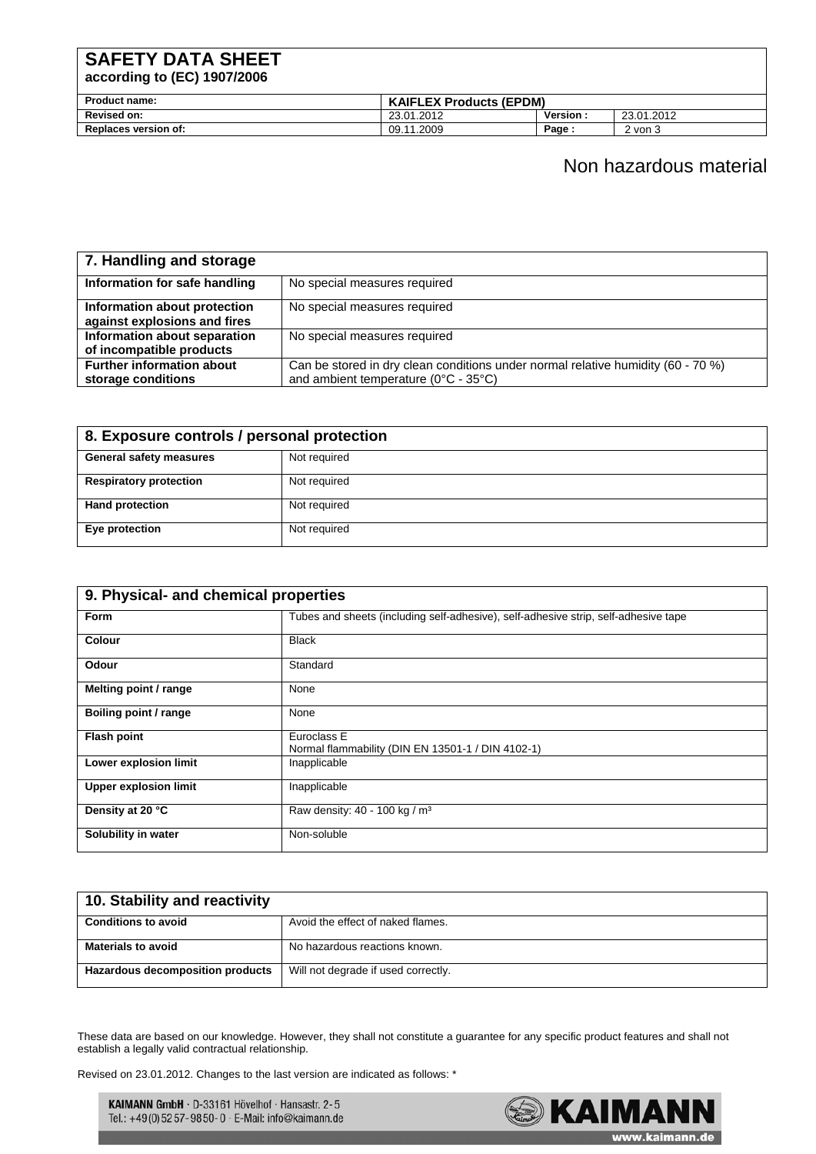## **SAFETY DATA SHEET**

**according to (EC) 1907/2006** 

| <b>Product name:</b>        | <b>KAIFLEX Products (EPDM)</b> |                |            |
|-----------------------------|--------------------------------|----------------|------------|
| <b>Revised on:</b>          | 23.01.2012                     | <b>Version</b> | 23.01.2012 |
| <b>Replaces version of:</b> | 09.11.2009                     | Page :         | 2 von 3    |

### Non hazardous material

| 7. Handling and storage                                      |                                                                                                                          |
|--------------------------------------------------------------|--------------------------------------------------------------------------------------------------------------------------|
| Information for safe handling                                | No special measures required                                                                                             |
| Information about protection<br>against explosions and fires | No special measures required                                                                                             |
| Information about separation<br>of incompatible products     | No special measures required                                                                                             |
| <b>Further information about</b><br>storage conditions       | Can be stored in dry clean conditions under normal relative humidity (60 - 70 %)<br>and ambient temperature (0°C - 35°C) |

| 8. Exposure controls / personal protection |              |
|--------------------------------------------|--------------|
| <b>General safety measures</b>             | Not required |
| <b>Respiratory protection</b>              | Not required |
| <b>Hand protection</b>                     | Not required |
| Eye protection                             | Not required |

| 9. Physical- and chemical properties |                                                                                     |  |
|--------------------------------------|-------------------------------------------------------------------------------------|--|
| <b>Form</b>                          | Tubes and sheets (including self-adhesive), self-adhesive strip, self-adhesive tape |  |
| <b>Colour</b>                        | <b>Black</b>                                                                        |  |
| Odour                                | Standard                                                                            |  |
| Melting point / range                | None                                                                                |  |
| Boiling point / range                | None                                                                                |  |
| <b>Flash point</b>                   | Euroclass E<br>Normal flammability (DIN EN 13501-1 / DIN 4102-1)                    |  |
| Lower explosion limit                | Inapplicable                                                                        |  |
| <b>Upper explosion limit</b>         | Inapplicable                                                                        |  |
| Density at 20 °C                     | Raw density: 40 - 100 kg / m <sup>3</sup>                                           |  |
| Solubility in water                  | Non-soluble                                                                         |  |

| 10. Stability and reactivity     |                                     |
|----------------------------------|-------------------------------------|
| <b>Conditions to avoid</b>       | Avoid the effect of naked flames.   |
| <b>Materials to avoid</b>        | No hazardous reactions known.       |
| Hazardous decomposition products | Will not degrade if used correctly. |

These data are based on our knowledge. However, they shall not constitute a guarantee for any specific product features and shall not establish a legally valid contractual relationship.

Revised on 23.01.2012. Changes to the last version are indicated as follows: \*

KAIMANN GmbH · D-33161 Hövelhof · Hansastr. 2-5 Tel.: +49 (0) 52 57 - 98 50 - 0 · E-Mail: info@kaimann.de